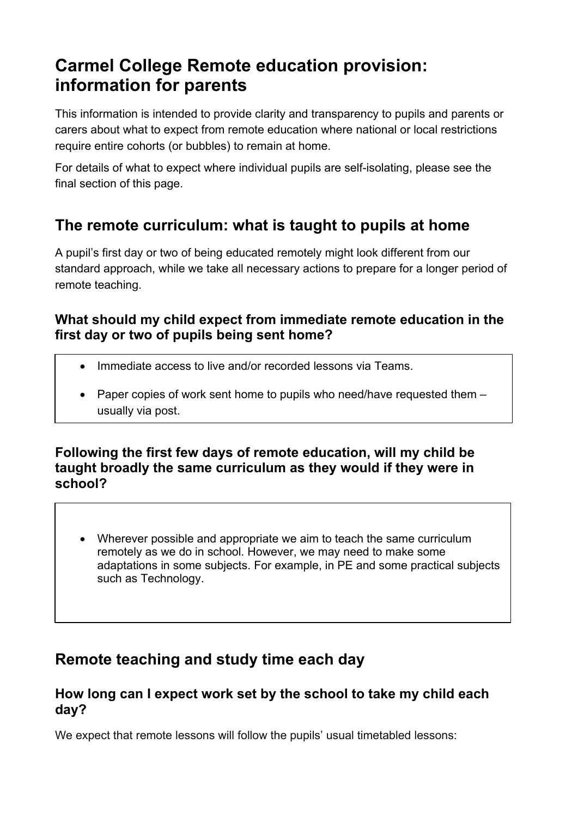# **Carmel College Remote education provision: information for parents**

This information is intended to provide clarity and transparency to pupils and parents or carers about what to expect from remote education where national or local restrictions require entire cohorts (or bubbles) to remain at home.

For details of what to expect where individual pupils are self-isolating, please see the final section of this page.

# **The remote curriculum: what is taught to pupils at home**

A pupil's first day or two of being educated remotely might look different from our standard approach, while we take all necessary actions to prepare for a longer period of remote teaching.

### **What should my child expect from immediate remote education in the first day or two of pupils being sent home?**

- Immediate access to live and/or recorded lessons via Teams.
- Paper copies of work sent home to pupils who need/have requested them usually via post.

### **Following the first few days of remote education, will my child be taught broadly the same curriculum as they would if they were in school?**

• Wherever possible and appropriate we aim to teach the same curriculum remotely as we do in school. However, we may need to make some adaptations in some subjects. For example, in PE and some practical subjects such as Technology.

# **Remote teaching and study time each day**

## **How long can I expect work set by the school to take my child each day?**

We expect that remote lessons will follow the pupils' usual timetabled lessons: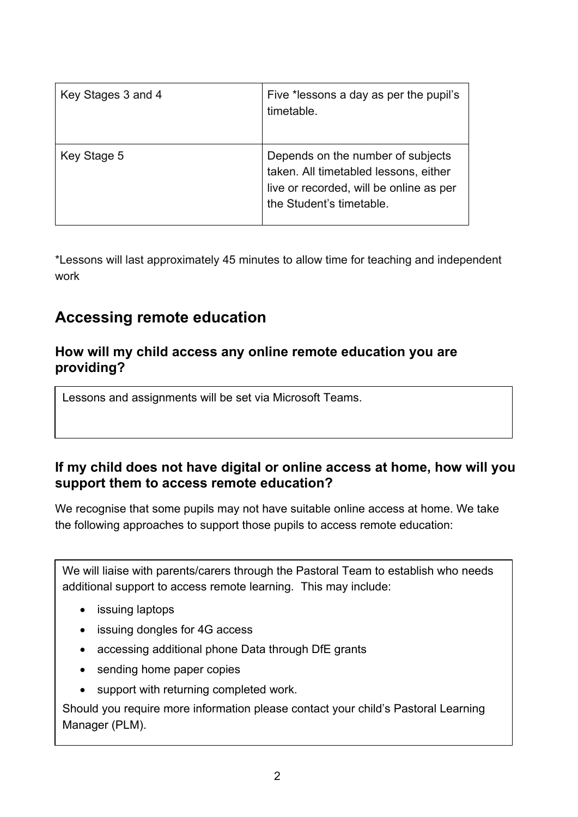| Key Stages 3 and 4 | Five *lessons a day as per the pupil's<br>timetable.                                                                                              |
|--------------------|---------------------------------------------------------------------------------------------------------------------------------------------------|
| Key Stage 5        | Depends on the number of subjects<br>taken. All timetabled lessons, either<br>live or recorded, will be online as per<br>the Student's timetable. |

\*Lessons will last approximately 45 minutes to allow time for teaching and independent work

# **Accessing remote education**

#### **How will my child access any online remote education you are providing?**

Lessons and assignments will be set via Microsoft Teams.

### **If my child does not have digital or online access at home, how will you support them to access remote education?**

We recognise that some pupils may not have suitable online access at home. We take the following approaches to support those pupils to access remote education:

We will liaise with parents/carers through the Pastoral Team to establish who needs additional support to access remote learning. This may include:

- issuing laptops
- issuing dongles for 4G access
- accessing additional phone Data through DfE grants
- sending home paper copies
- support with returning completed work.

Should you require more information please contact your child's Pastoral Learning Manager (PLM).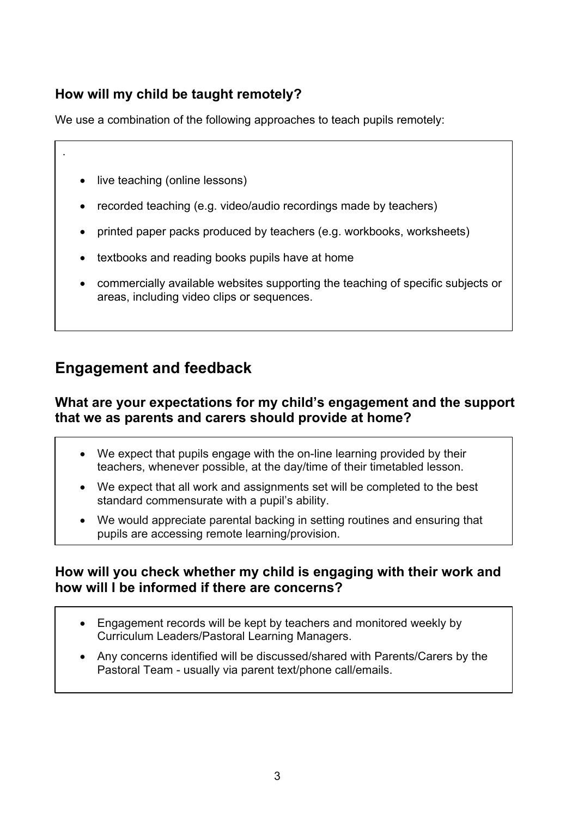## **How will my child be taught remotely?**

We use a combination of the following approaches to teach pupils remotely:

live teaching (online lessons)

.

- recorded teaching (e.g. video/audio recordings made by teachers)
- printed paper packs produced by teachers (e.g. workbooks, worksheets)
- textbooks and reading books pupils have at home
- commercially available websites supporting the teaching of specific subjects or areas, including video clips or sequences.

## **Engagement and feedback**

#### **What are your expectations for my child's engagement and the support that we as parents and carers should provide at home?**

- We expect that pupils engage with the on-line learning provided by their teachers, whenever possible, at the day/time of their timetabled lesson.
- We expect that all work and assignments set will be completed to the best standard commensurate with a pupil's ability.
- We would appreciate parental backing in setting routines and ensuring that pupils are accessing remote learning/provision.

#### **How will you check whether my child is engaging with their work and how will I be informed if there are concerns?**

- Engagement records will be kept by teachers and monitored weekly by Curriculum Leaders/Pastoral Learning Managers.
- Any concerns identified will be discussed/shared with Parents/Carers by the Pastoral Team - usually via parent text/phone call/emails.